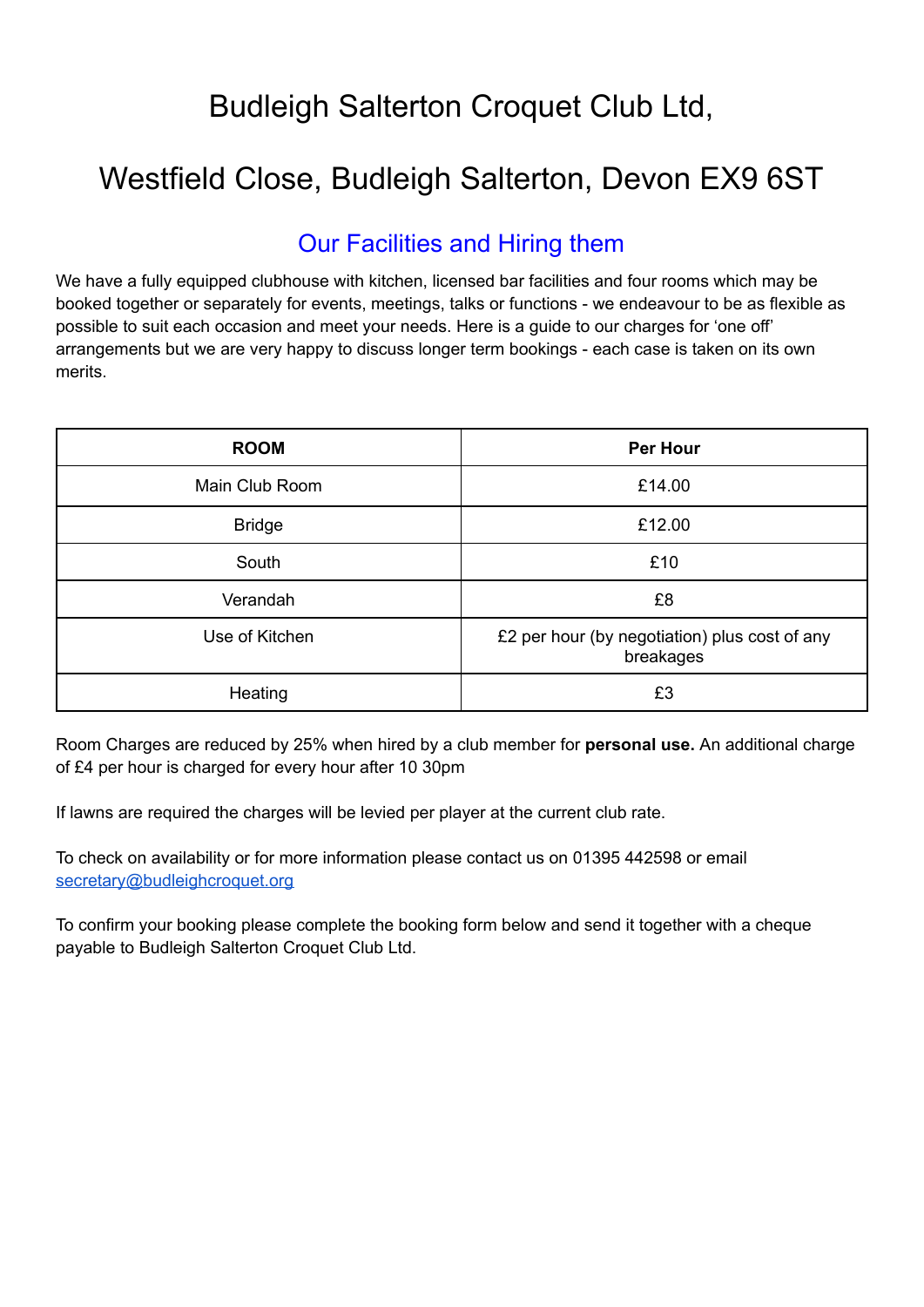## Budleigh Salterton Croquet Club Ltd,

# Westfield Close, Budleigh Salterton, Devon EX9 6ST

### Our Facilities and Hiring them

We have a fully equipped clubhouse with kitchen, licensed bar facilities and four rooms which may be booked together or separately for events, meetings, talks or functions - we endeavour to be as flexible as possible to suit each occasion and meet your needs. Here is a guide to our charges for 'one off' arrangements but we are very happy to discuss longer term bookings - each case is taken on its own merits.

| <b>ROOM</b>    | <b>Per Hour</b>                                            |  |  |  |
|----------------|------------------------------------------------------------|--|--|--|
| Main Club Room | £14.00                                                     |  |  |  |
| <b>Bridge</b>  | £12.00                                                     |  |  |  |
| South          | £10                                                        |  |  |  |
| Verandah       | £8                                                         |  |  |  |
| Use of Kitchen | £2 per hour (by negotiation) plus cost of any<br>breakages |  |  |  |
| Heating        | £3                                                         |  |  |  |

Room Charges are reduced by 25% when hired by a club member for **personal use.** An additional charge of £4 per hour is charged for every hour after 10 30pm

If lawns are required the charges will be levied per player at the current club rate.

To check on availability or for more information please contact us on 01395 442598 or email [secretary@budleighcroquet.org](mailto://(null)secretary@budleighcroquet.org)

To confirm your booking please complete the booking form below and send it together with a cheque payable to Budleigh Salterton Croquet Club Ltd.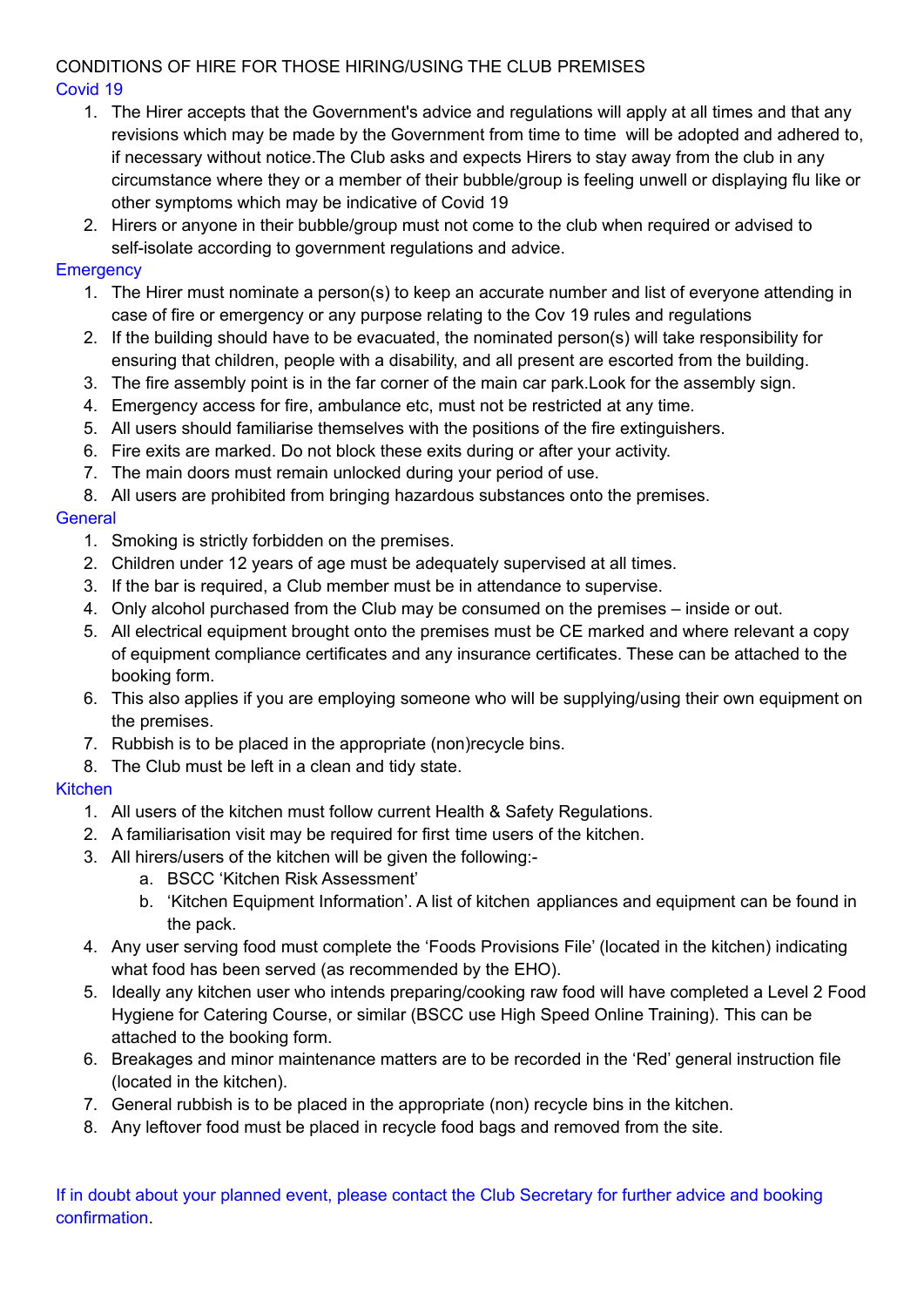#### CONDITIONS OF HIRE FOR THOSE HIRING/USING THE CLUB PREMISES Covid 19

- 1. The Hirer accepts that the Government's advice and regulations will apply at all times and that any revisions which may be made by the Government from time to time will be adopted and adhered to, if necessary without notice.The Club asks and expects Hirers to stay away from the club in any circumstance where they or a member of their bubble/group is feeling unwell or displaying flu like or other symptoms which may be indicative of Covid 19
- 2. Hirers or anyone in their bubble/group must not come to the club when required or advised to self-isolate according to government regulations and advice.

### **Emergency**

- 1. The Hirer must nominate a person(s) to keep an accurate number and list of everyone attending in case of fire or emergency or any purpose relating to the Cov 19 rules and regulations
- 2. If the building should have to be evacuated, the nominated person(s) will take responsibility for ensuring that children, people with a disability, and all present are escorted from the building.
- 3. The fire assembly point is in the far corner of the main car park.Look for the assembly sign.
- 4. Emergency access for fire, ambulance etc, must not be restricted at any time.
- 5. All users should familiarise themselves with the positions of the fire extinguishers.
- 6. Fire exits are marked. Do not block these exits during or after your activity.
- 7. The main doors must remain unlocked during your period of use.
- 8. All users are prohibited from bringing hazardous substances onto the premises.

#### **General**

- 1. Smoking is strictly forbidden on the premises.
- 2. Children under 12 years of age must be adequately supervised at all times.
- 3. If the bar is required, a Club member must be in attendance to supervise.
- 4. Only alcohol purchased from the Club may be consumed on the premises inside or out.
- 5. All electrical equipment brought onto the premises must be CE marked and where relevant a copy of equipment compliance certificates and any insurance certificates. These can be attached to the booking form.
- 6. This also applies if you are employing someone who will be supplying/using their own equipment on the premises.
- 7. Rubbish is to be placed in the appropriate (non)recycle bins.
- 8. The Club must be left in a clean and tidy state.

#### **Kitchen**

- 1. All users of the kitchen must follow current Health & Safety Regulations.
- 2. A familiarisation visit may be required for first time users of the kitchen.
- 3. All hirers/users of the kitchen will be given the following:
	- a. BSCC 'Kitchen Risk Assessment'
	- b. 'Kitchen Equipment Information'. A list of kitchen appliances and equipment can be found in the pack.
- 4. Any user serving food must complete the 'Foods Provisions File' (located in the kitchen) indicating what food has been served (as recommended by the EHO).
- 5. Ideally any kitchen user who intends preparing/cooking raw food will have completed a Level 2 Food Hygiene for Catering Course, or similar (BSCC use High Speed Online Training). This can be attached to the booking form.
- 6. Breakages and minor maintenance matters are to be recorded in the 'Red' general instruction file (located in the kitchen).
- 7. General rubbish is to be placed in the appropriate (non) recycle bins in the kitchen.
- 8. Any leftover food must be placed in recycle food bags and removed from the site.

If in doubt about your planned event, please contact the Club Secretary for further advice and booking confirmation.